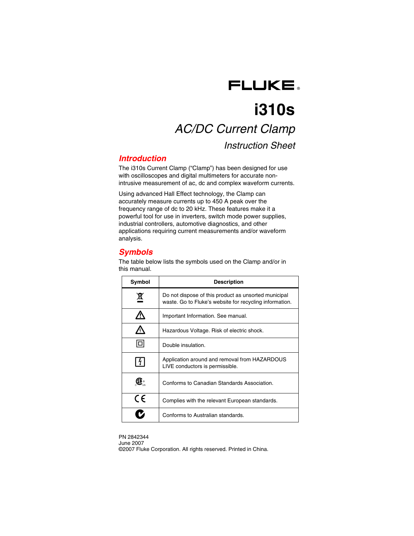

# **i310s**  *AC/DC Current Clamp Instruction Sheet*

## *Introduction*

The i310s Current Clamp ("Clamp") has been designed for use with oscilloscopes and digital multimeters for accurate nonintrusive measurement of ac, dc and complex waveform currents.

Using advanced Hall Effect technology, the Clamp can accurately measure currents up to 450 A peak over the frequency range of dc to 20 kHz. These features make it a powerful tool for use in inverters, switch mode power supplies, industrial controllers, automotive diagnostics, and other applications requiring current measurements and/or waveform analysis.

# *Symbols*

The table below lists the symbols used on the Clamp and/or in this manual.

| Symbol  | <b>Description</b>                                                                                              |  |
|---------|-----------------------------------------------------------------------------------------------------------------|--|
| 賔       | Do not dispose of this product as unsorted municipal<br>waste. Go to Fluke's website for recycling information. |  |
|         | Important Information. See manual.                                                                              |  |
|         | Hazardous Voltage. Risk of electric shock.                                                                      |  |
| п       | Double insulation.                                                                                              |  |
|         | Application around and removal from HAZARDOUS<br>LIVE conductors is permissible.                                |  |
|         | Conforms to Canadian Standards Association.                                                                     |  |
| $C \in$ | Complies with the relevant European standards.                                                                  |  |
|         | Conforms to Australian standards.                                                                               |  |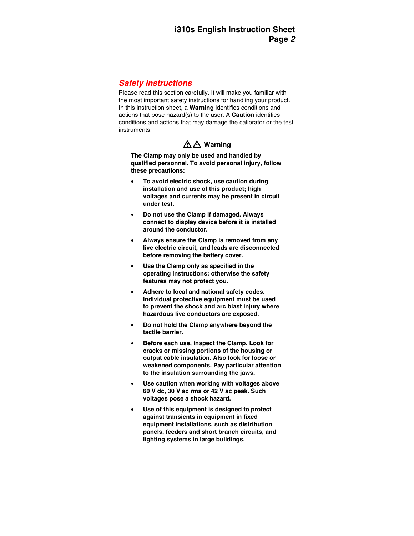## *Safety Instructions*

Please read this section carefully. It will make you familiar with the most important safety instructions for handling your product. In this instruction sheet, a **Warning** identifies conditions and actions that pose hazard(s) to the user. A **Caution** identifies conditions and actions that may damage the calibrator or the test instruments.

# $\triangle$   $\triangle$  Warning

**The Clamp may only be used and handled by qualified personnel. To avoid personal injury, follow these precautions:** 

- **To avoid electric shock, use caution during installation and use of this product; high voltages and currents may be present in circuit under test.**
- **Do not use the Clamp if damaged. Always connect to display device before it is installed around the conductor.**
- **Always ensure the Clamp is removed from any live electric circuit, and leads are disconnected before removing the battery cover.**
- **Use the Clamp only as specified in the operating instructions; otherwise the safety features may not protect you.**
- **Adhere to local and national safety codes. Individual protective equipment must be used to prevent the shock and arc blast injury where hazardous live conductors are exposed.**
- **Do not hold the Clamp anywhere beyond the tactile barrier.**
- **Before each use, inspect the Clamp. Look for cracks or missing portions of the housing or output cable insulation. Also look for loose or weakened components. Pay particular attention to the insulation surrounding the jaws.**
- **Use caution when working with voltages above 60 V dc, 30 V ac rms or 42 V ac peak. Such voltages pose a shock hazard.**
- **Use of this equipment is designed to protect against transients in equipment in fixed equipment installations, such as distribution panels, feeders and short branch circuits, and lighting systems in large buildings.**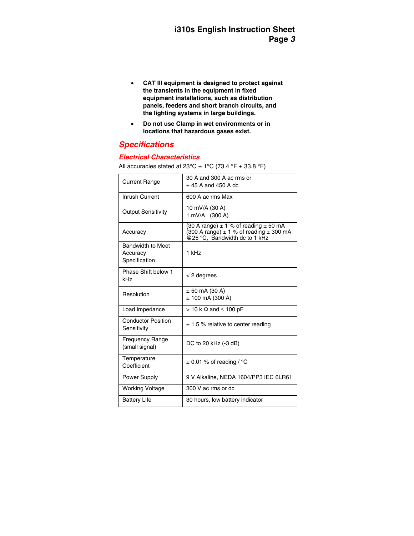- **CAT III equipment is designed to protect against the transients in the equipment in fixed equipment installations, such as distribution panels, feeders and short branch circuits, and the lighting systems in large buildings.**
- **Do not use Clamp in wet environments or in locations that hazardous gases exist.**

## *Specifications*

#### *Electrical Characteristics*

All accuracies stated at  $23^{\circ}$ C  $\pm$  1°C (73.4 °F  $\pm$  33.8 °F)

| <b>Current Range</b>                                  | 30 A and 300 A ac rms or<br>$+45$ A and 450 A dc                                                                                          |
|-------------------------------------------------------|-------------------------------------------------------------------------------------------------------------------------------------------|
| Inrush Current                                        | 600 A ac rms Max                                                                                                                          |
| <b>Output Sensitivity</b>                             | 10 mV/A (30 A)<br>1 mV/A (300 A)                                                                                                          |
| Accuracy                                              | (30 A range) $\pm$ 1 % of reading $\pm$ 50 mA<br>$(300 \text{ A range}) \pm 1$ % of reading $\pm$ 300 mA<br>@25 °C, Bandwidth dc to 1 kHz |
| <b>Bandwidth to Meet</b><br>Accuracy<br>Specification | 1 kHz                                                                                                                                     |
| Phase Shift below 1<br>kHz                            | < 2 degrees                                                                                                                               |
| Resolution                                            | $± 50$ mA (30 A)<br>$± 100$ mA (300 A)                                                                                                    |
| Load impedance                                        | $> 10$ k $\Omega$ and $\leq 100$ pF                                                                                                       |
| <b>Conductor Position</b><br>Sensitivity              | $\pm$ 1.5 % relative to center reading                                                                                                    |
| <b>Frequency Range</b><br>(small signal)              | DC to 20 kHz (-3 dB)                                                                                                                      |
| Temperature<br>Coefficient                            | $\pm$ 0.01 % of reading / °C                                                                                                              |
| Power Supply                                          | 9 V Alkaline, NEDA 1604/PP3 IEC 6LR61                                                                                                     |
| <b>Working Voltage</b>                                | 300 V ac rms or dc                                                                                                                        |
| <b>Battery Life</b>                                   | 30 hours, low battery indicator                                                                                                           |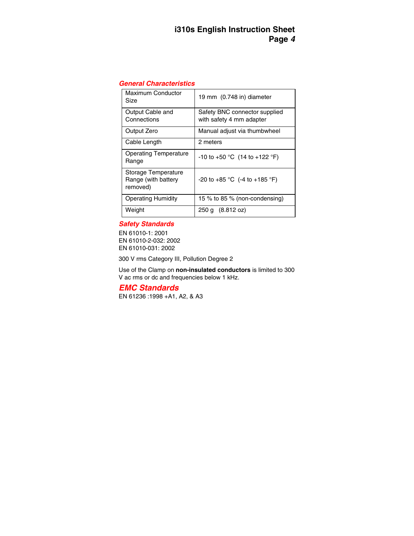## *General Characteristics*

| Maximum Conductor<br>Size                              | 19 mm (0.748 in) diameter                                 |
|--------------------------------------------------------|-----------------------------------------------------------|
| Output Cable and<br>Connections                        | Safety BNC connector supplied<br>with safety 4 mm adapter |
| Output Zero                                            | Manual adjust via thumbwheel                              |
| Cable Length                                           | 2 meters                                                  |
| <b>Operating Temperature</b><br>Range                  | -10 to +50 °C $(14$ to +122 °F)                           |
| Storage Temperature<br>Range (with battery<br>removed) | $-20$ to $+85$ °C (-4 to $+185$ °F)                       |
| <b>Operating Humidity</b>                              | 15 % to 85 % (non-condensing)                             |
| Weight                                                 | 250 g (8.812 oz)                                          |

### *Safety Standards*

EN 61010-1: 2001 EN 61010-2-032: 2002 EN 61010-031: 2002

300 V rms Category III, Pollution Degree 2

Use of the Clamp on **non-insulated conductors** is limited to 300 V ac rms or dc and frequencies below 1 kHz.

*EMC Standards* 

EN 61236 :1998 +A1, A2, & A3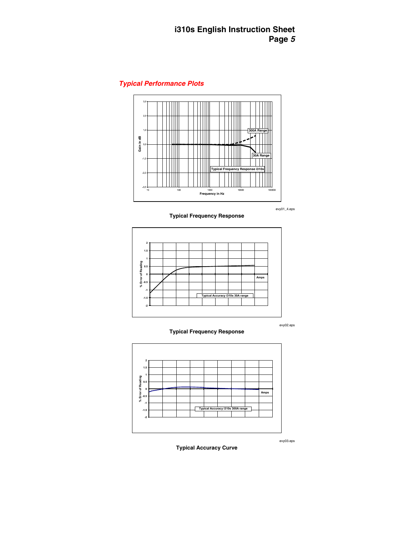## *Typical Performance Plots*



evy01\_4.eps





evy02.eps



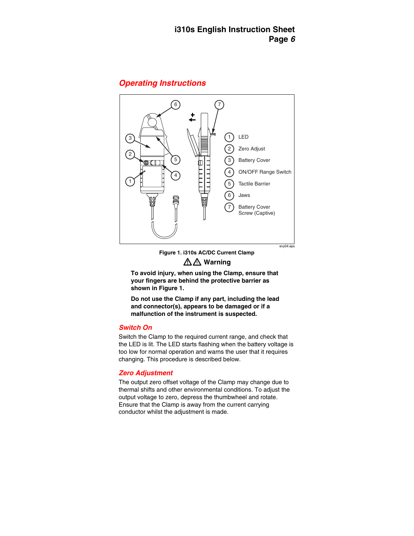## *Operating Instructions*



## **Figure 1. i310s AC/DC Current Clamp**  WX **Warning**

**To avoid injury, when using the Clamp, ensure that your fingers are behind the protective barrier as shown in Figure 1.** 

**Do not use the Clamp if any part, including the lead and connector(s), appears to be damaged or if a malfunction of the instrument is suspected.** 

#### *Switch On*

Switch the Clamp to the required current range, and check that the LED is lit. The LED starts flashing when the battery voltage is too low for normal operation and warns the user that it requires changing. This procedure is described below.

## *Zero Adjustment*

The output zero offset voltage of the Clamp may change due to thermal shifts and other environmental conditions. To adjust the output voltage to zero, depress the thumbwheel and rotate. Ensure that the Clamp is away from the current carrying conductor whilst the adjustment is made.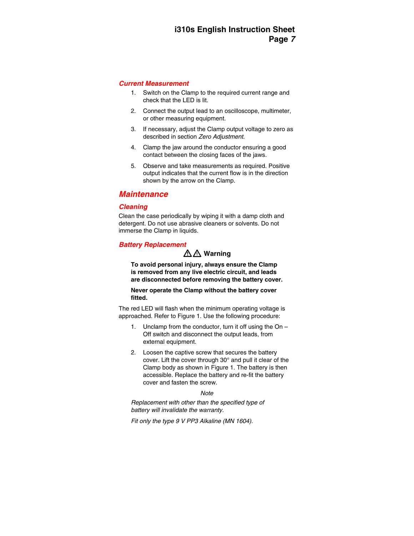#### *Current Measurement*

- 1. Switch on the Clamp to the required current range and check that the LED is lit.
- 2. Connect the output lead to an oscilloscope, multimeter, or other measuring equipment.
- 3. If necessary, adjust the Clamp output voltage to zero as described in section *Zero Adjustment*.
- 4. Clamp the jaw around the conductor ensuring a good contact between the closing faces of the jaws.
- 5. Observe and take measurements as required. Positive output indicates that the current flow is in the direction shown by the arrow on the Clamp.

## *Maintenance*

## *Cleaning*

Clean the case periodically by wiping it with a damp cloth and detergent. Do not use abrasive cleaners or solvents. Do not immerse the Clamp in liquids.

## *Battery Replacement*

# WX **Warning**

**To avoid personal injury, always ensure the Clamp is removed from any live electric circuit, and leads are disconnected before removing the battery cover.** 

**Never operate the Clamp without the battery cover fitted.** 

The red LED will flash when the minimum operating voltage is approached. Refer to Figure 1. Use the following procedure:

- 1. Unclamp from the conductor, turn it off using the  $On -$ Off switch and disconnect the output leads, from external equipment.
- 2. Loosen the captive screw that secures the battery cover. Lift the cover through 30° and pull it clear of the Clamp body as shown in Figure 1. The battery is then accessible. Replace the battery and re-fit the battery cover and fasten the screw.

#### *Note*

*Replacement with other than the specified type of battery will invalidate the warranty.* 

*Fit only the type 9 V PP3 Alkaline (MN 1604).*